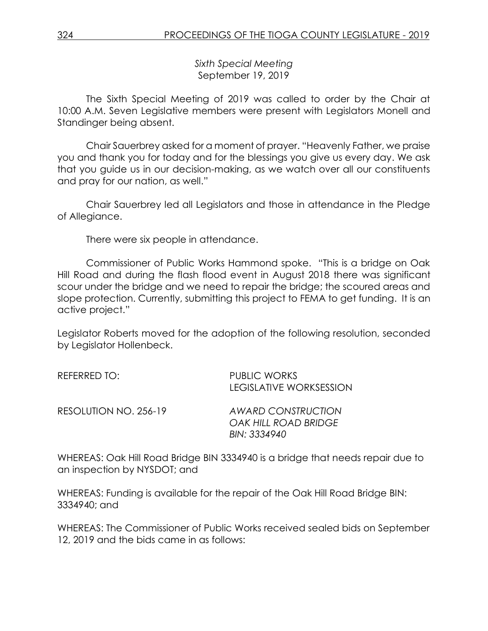*Sixth Special Meeting* September 19, 2019

The Sixth Special Meeting of 2019 was called to order by the Chair at 10:00 A.M. Seven Legislative members were present with Legislators Monell and Standinger being absent.

Chair Sauerbrey asked for a moment of prayer. "Heavenly Father, we praise you and thank you for today and for the blessings you give us every day. We ask that you guide us in our decision-making, as we watch over all our constituents and pray for our nation, as well."

Chair Sauerbrey led all Legislators and those in attendance in the Pledge of Allegiance.

There were six people in attendance.

Commissioner of Public Works Hammond spoke. "This is a bridge on Oak Hill Road and during the flash flood event in August 2018 there was significant scour under the bridge and we need to repair the bridge; the scoured areas and slope protection. Currently, submitting this project to FEMA to get funding. It is an active project."

Legislator Roberts moved for the adoption of the following resolution, seconded by Legislator Hollenbeck.

| REFERRED TO:          | <b>PUBLIC WORKS</b><br><b>LEGISLATIVE WORKSESSION</b> |
|-----------------------|-------------------------------------------------------|
| RESOLUTION NO. 256-19 | <b>AWARD CONSTRUCTION</b><br>OAK HILL ROAD BRIDGE     |
|                       | BIN: 3334940                                          |

WHEREAS: Oak Hill Road Bridge BIN 3334940 is a bridge that needs repair due to an inspection by NYSDOT; and

WHEREAS: Funding is available for the repair of the Oak Hill Road Bridge BIN: 3334940; and

WHEREAS: The Commissioner of Public Works received sealed bids on September 12, 2019 and the bids came in as follows: